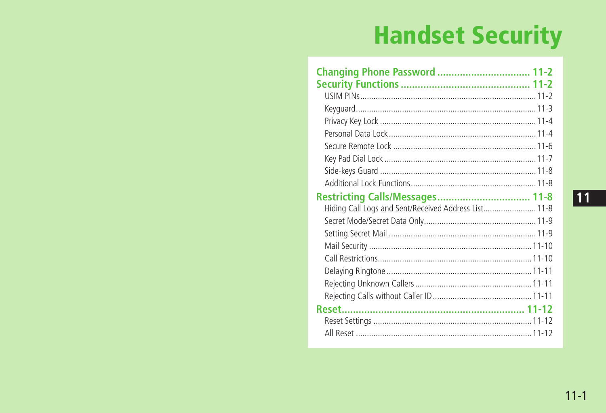## **Handset Security**

| Changing Phone Password  11-2                        |  |
|------------------------------------------------------|--|
|                                                      |  |
|                                                      |  |
|                                                      |  |
|                                                      |  |
|                                                      |  |
|                                                      |  |
|                                                      |  |
|                                                      |  |
|                                                      |  |
|                                                      |  |
| Hiding Call Logs and Sent/Received Address List 11-8 |  |
|                                                      |  |
|                                                      |  |
|                                                      |  |
|                                                      |  |
|                                                      |  |
|                                                      |  |
|                                                      |  |
|                                                      |  |
|                                                      |  |
|                                                      |  |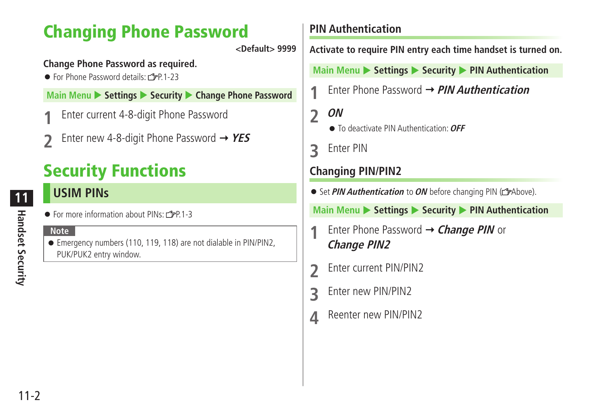## <span id="page-1-0"></span>**Changing Phone Password**

**<Default> 9999**

#### **Change Phone Password as required.**

● For Phone Password details: r字P 1-23

**Main Menu > Settings > Security > Change Phone Password** 

- **1** Enter current 4-8-digit Phone Password
- **2** Enter new 4-8-digit Phone Password **YES**

## **Security Functions**

## **USIM PINs**

● For more information about PINs: r字P.1-3

#### **Note**

● Emergency numbers (110, 119, 118) are not dialable in PIN/PIN2. PUK/PUK2 entry window.

#### **PIN Authentication**

**Activate to require PIN entry each time handset is turned on.**

**Main Menu > Settings > Security > PIN Authentication** 

**1** Enter Phone Password **PIN Authentication**

**2 ON**

- To deactivate PIN Authentication: **OFF**
- **3** Enter PIN

#### **Changing PIN/PIN2**

● Set *PIN Authentication* to *ON* before changing PIN ( $\bigcirc$  Above).

**Main Menu > Settings > Security > PIN Authentication** 

- **1** Enter Phone Password **Change PIN** or **Change PIN2**
- **2** Enter current PIN/PIN2
- **3** Enter new PIN/PIN2
- **4** Reenter new PIN/PIN2

**11**

**Handset Security**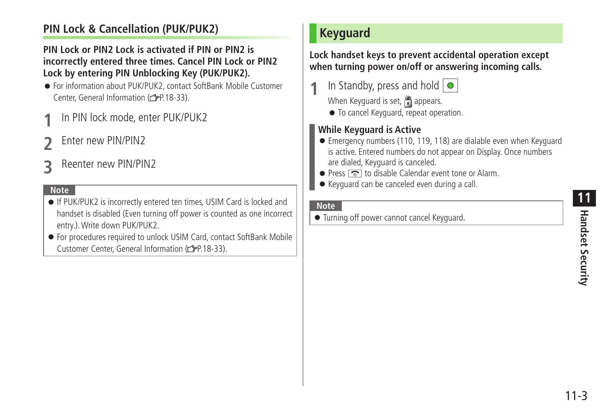# **Handset Security 11**<br>Finalsect Security

## <span id="page-2-0"></span>**PIN Lock & Cancellation (PUK/PUK2)**

#### **PIN Lock or PIN2 Lock is activated if PIN or PIN2 is incorrectly entered three times. Cancel PIN Lock or PIN2 Lock by entering PIN Unblocking Key (PUK/PUK2).**

- For information about PUK/PUK2, contact SoftBank Mobile Customer Center, General Information (FP.18-33).
- **1** In PIN lock mode, enter PUK/PUK2
- **2** Enter new PIN/PIN2
- **3** Reenter new PIN/PIN2

#### **Note**

- If PUK/PUK2 is incorrectly entered ten times, USIM Card is locked and handset is disabled (Even turning off power is counted as one incorrect entry.). Write down PUK/PUK2.
- For procedures required to unlock USIM Card, contact SoftBank Mobile Customer Center, General Information ( $\mathcal{F}$ P.18-33).

## **Keyguard**

**Lock handset keys to prevent accidental operation except when turning power on/off or answering incoming calls.**

- **1** In Standby, press and hold 
	-
	- When Keyguard is set,  $\Box$  appears.
	- To cancel Keyguard, repeat operation.

#### **While Keyguard is Active**

- Emergency numbers (110, 119, 118) are dialable even when Keyguard is active. Entered numbers do not appear on Display. Once numbers are dialed, Keyguard is canceled.
- $\bullet$  Press  $\circ$  to disable Calendar event tone or Alarm.
- Keyguard can be canceled even during a call.

#### **Note**

● Turning off power cannot cancel Keyguard.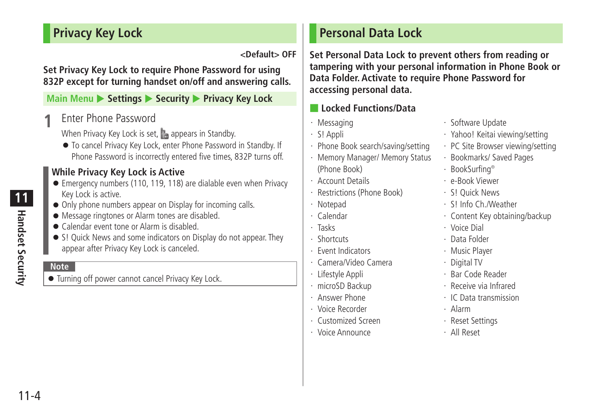## <span id="page-3-0"></span>**Privacy Key Lock**

**<Default> OFF**

**Set Privacy Key Lock to require Phone Password for using 832P except for turning handset on/off and answering calls.**

#### **Main Menu**  $\triangleright$  **Settings**  $\triangleright$  **Security**  $\triangleright$  **Privacy Key Lock**

**1** Enter Phone Password

When Privacy Key Lock is set,  $\mathbb{R}$  appears in Standby.

● To cancel Privacy Key Lock, enter Phone Password in Standby. If Phone Password is incorrectly entered five times, 832P turns off.

#### **While Privacy Key Lock is Active**

- Emergency numbers (110, 119, 118) are dialable even when Privacy Key Lock is active.
- Only phone numbers appear on Display for incoming calls.
- Message ringtones or Alarm tones are disabled.
- Calendar event tone or Alarm is disabled.
- S! Ouick News and some indicators on Display do not appear. They appear after Privacy Key Lock is canceled.

#### **Note**

● Turning off power cannot cancel Privacy Key Lock.

## **Personal Data Lock**

**Set Personal Data Lock to prevent others from reading or tampering with your personal information in Phone Book or Data Folder. Activate to require Phone Password for accessing personal data.**

#### ■ **Locked Functions/Data**

- ・ Messaging
- ・ S! Appli
- ・ Phone Book search/saving/setting
- ・ Memory Manager/ Memory Status (Phone Book)
- ・ Account Details
- ・ Restrictions (Phone Book)
- ・ Notepad
- ・ Calendar
- ・ Tasks
- ・ Shortcuts
- ・ Event Indicators
- ・ Camera/Video Camera
- ・ Lifestyle Appli
- ・ microSD Backup
- ・ Answer Phone
- ・ Voice Recorder
- ・ Customized Screen
- ・ Voice Announce
- ・ Software Update
- ・ Yahoo! Keitai viewing/setting
- ・ PC Site Browser viewing/setting
- ・ Bookmarks/ Saved Pages
- ・ BookSurfing®
- ・ e-Book Viewer
- ・ S! Quick News
- ・ S! Info Ch./Weather
- ・ Content Key obtaining/backup
- ・ Voice Dial
- ・ Data Folder
- ・ Music Player
- ・ Digital TV
- ・ Bar Code Reader
- ・ Receive via Infrared
- ・ IC Data transmission
- ・ Alarm
- ・ Reset Settings
- ・ All Reset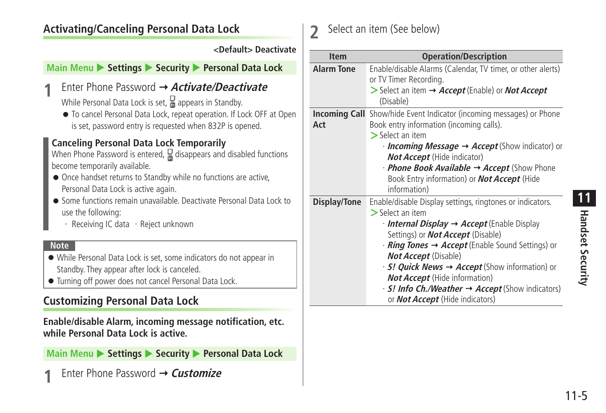## **Activating/Canceling Personal Data Lock**

#### **<Default> Deactivate**

#### **Main Menu > Settings > Security > Personal Data Lock**

## **1** Enter Phone Password **Activate/Deactivate**

While Personal Data Lock is set,  $\frac{1}{6}$  appears in Standby.

● To cancel Personal Data Lock, repeat operation. If Lock OFF at Open is set, password entry is requested when 832P is opened.

#### **Canceling Personal Data Lock Temporarily**

When Phone Password is entered,  $\frac{1}{6}$  disappears and disabled functions become temporarily available.

- Once handset returns to Standby while no functions are active. Personal Data Lock is active again.
- Some functions remain unavailable. Deactivate Personal Data Lock to use the following:
	- ・ Receiving IC data ・Reject unknown

#### **Note**

- While Personal Data Lock is set, some indicators do not appear in Standby. They appear after lock is canceled.
- Turning off power does not cancel Personal Data Lock.

## **Customizing Personal Data Lock**

#### **Enable/disable Alarm, incoming message notification, etc. while Personal Data Lock is active.**

**Main Menu ▶ Settings ▶ Security ▶ Personal Data Lock** 

**Enter Phone Password → Customize** 

## **2** Select an item (See below)

| <b>Item</b>       | <b>Operation/Description</b>                                                                                                                                                                                                                                                                                                                                                                                                                                                                                                                |
|-------------------|---------------------------------------------------------------------------------------------------------------------------------------------------------------------------------------------------------------------------------------------------------------------------------------------------------------------------------------------------------------------------------------------------------------------------------------------------------------------------------------------------------------------------------------------|
| <b>Alarm Tone</b> | Enable/disable Alarms (Calendar, TV timer, or other alerts)<br>or TV Timer Recording.<br>$>$ Select an item $\rightarrow$ Accept (Enable) or <i>Not Accept</i><br>(Disable)                                                                                                                                                                                                                                                                                                                                                                 |
| Act               | <b>Incoming Call</b> Show/hide Event Indicator (incoming messages) or Phone<br>Book entry information (incoming calls).<br>$>$ Select an item<br>$\cdot$ Incoming Message $\rightarrow$ Accept (Show indicator) or<br><b>Not Accept</b> (Hide indicator)<br>· Phone Book Available → Accept (Show Phone<br>Book Entry information) or <b>Not Accept</b> (Hide<br>information)                                                                                                                                                               |
| Display/Tone      | Enable/disable Display settings, ringtones or indicators.<br>$>$ Select an item<br>$\cdot$ Internal Display $\rightarrow$ Accept (Enable Display<br>Settings) or <b>Not Accept</b> (Disable)<br>$\cdot$ <i>Ring Tones</i> $\rightarrow$ <i>Accept</i> (Enable Sound Settings) or<br><b>Not Accept</b> (Disable)<br>$\cdot$ S! Quick News $\rightarrow$ Accept (Show information) or<br><b>Not Accept</b> (Hide information)<br>$\cdot$ S! Info Ch./Weather $\rightarrow$ Accept (Show indicators)<br>or <b>Not Accept</b> (Hide indicators) |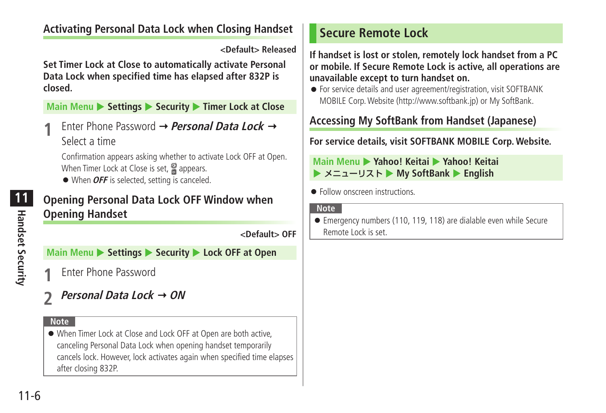## <span id="page-5-0"></span>**Activating Personal Data Lock when Closing Handset**

**<Default> Released**

**Set Timer Lock at Close to automatically activate Personal Data Lock when specified time has elapsed after 832P is closed.**

**Main Menu**  $\triangleright$  **Settings**  $\triangleright$  **Security**  $\triangleright$  **Timer Lock at Close** 

**1** Enter Phone Password **Personal Data Lock** Select a time

Confirmation appears asking whether to activate Lock OFF at Open. When Timer Lock at Close is set,  $\frac{10}{10}$  appears.

● When *OFF* is selected, setting is canceled.

## **Opening Personal Data Lock OFF Window when Opening Handset**

**<Default> OFF**

**Main Menu > Settings > Security > Lock OFF at Open** 

- **1** Enter Phone Password
- *Personal Data Lock → ON*

#### **Note**

● When Timer Lock at Close and Lock OFF at Open are both active. canceling Personal Data Lock when opening handset temporarily cancels lock. However, lock activates again when specified time elapses after closing 832P.

## **Secure Remote Lock**

**If handset is lost or stolen, remotely lock handset from a PC or mobile. If Secure Remote Lock is active, all operations are unavailable except to turn handset on.**

● For service details and user agreement/registration, visit SOFTBANK MOBILE Corp. Website (http://www.softbank.jp) or My SoftBank.

## **Accessing My SoftBank from Handset (Japanese)**

**For service details, visit SOFTBANK MOBILE Corp. Website.**

#### **Main Menu** X **Yahoo! Keitai** X **Yahoo! Keitai ▶ メニューリスト ▶ My SoftBank ▶ English**

● Follow onscreen instructions.

#### **Note**

● Emergency numbers (110, 119, 118) are dialable even while Secure Remote Lock is set.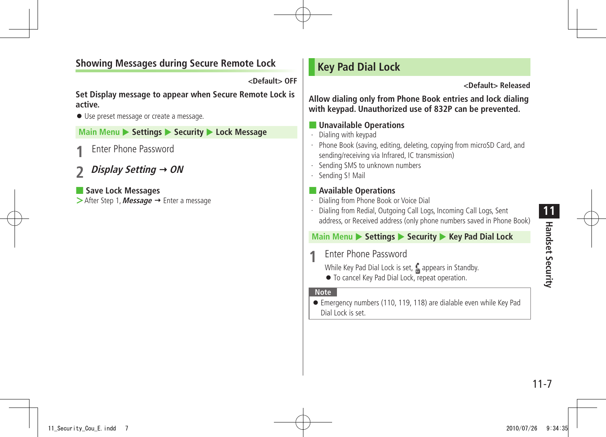## <span id="page-6-0"></span>**Showing Messages during Secure Remote Lock**

**<Default> OFF**

**Set Display message to appear when Secure Remote Lock is active.**

● Use preset message or create a message.

**Main Menu**  $\triangleright$  **Settings**  $\triangleright$  **Security**  $\triangleright$  **Lock Message** 

**1** Enter Phone Password

**2 Display Setting ON**

■ **Save Lock Messages >**After Step 1, **Message** → Enter a message

## **Key Pad Dial Lock**

**<Default> Released**

**Allow dialing only from Phone Book entries and lock dialing with keypad. Unauthorized use of 832P can be prevented.**

#### ■ **Unavailable Operations**

- ・ Dialing with keypad
- ・ Phone Book (saving, editing, deleting, copying from microSD Card, and sending/receiving via Infrared, IC transmission)
- ・ Sending SMS to unknown numbers
- ・ Sending S! Mail

#### ■ **Available Operations**

- ・ Dialing from Phone Book or Voice Dial
- Dialing from Redial, Outgoing Call Logs, Incoming Call Logs, Sent address, or Received address (only phone numbers saved in Phone Book)

## **Main Menu** X **Settings** X **Security** X **Key Pad Dial Lock**

**1** Enter Phone Password

While Key Pad Dial Lock is set,  $\frac{1}{n}$  appears in Standby.

● To cancel Key Pad Dial Lock, repeat operation.

#### **Note**

● Emergency numbers (110, 119, 118) are dialable even while Key Pad Dial Lock is set.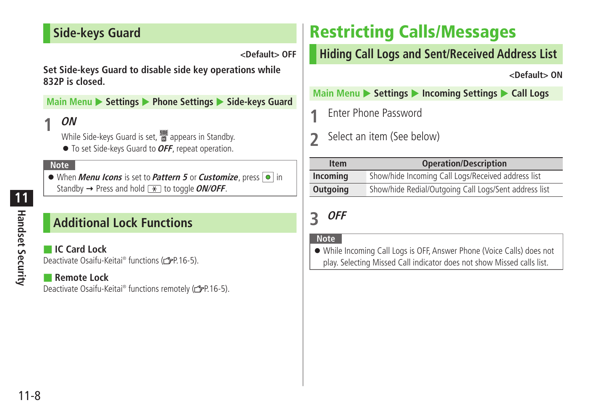## <span id="page-7-0"></span>**Side-keys Guard**

**<Default> OFF**

**Set Side-keys Guard to disable side key operations while 832P is closed.**

**Main Menu**  $\triangleright$  Settings  $\triangleright$  Phone Settings  $\triangleright$  Side-keys Guard

#### **1 ON**

While Side-keys Guard is set,  $\frac{100}{10}$  appears in Standby.

● To set Side-keys Guard to **OFF**, repeat operation.

#### **Note**

● When *Menu Icons* is set to *Pattern 5* or *Customize*, press ● in Standby  $\rightarrow$  Press and hold  $\sqrt{+}$  to toggle *ON/OFF*.

## **Additional Lock Functions**

■ **IC Card Lock** Deactivate Osaifu-Keitai® functions (cap. 16-5).

#### ■ **Remote Lock**

.Deactivate Osaifu-Keitai® functions remotely (金P.16-5)

## **Restricting Calls/Messages**

## **Hiding Call Logs and Sent/Received Address List**

**<Default> ON**

**Main Menu**  $\triangleright$  **Settings**  $\triangleright$  **Incoming Settings**  $\triangleright$  **Call Logs** 

**1** Enter Phone Password

**2** Select an item (See below)

| <b>Item</b> | <b>Operation/Description</b>                          |
|-------------|-------------------------------------------------------|
| Incoming    | Show/hide Incoming Call Logs/Received address list    |
| Outgoing    | Show/hide Redial/Outgoing Call Logs/Sent address list |

## **3 OFF**

#### **Note**

● While Incoming Call Logs is OFF, Answer Phone (Voice Calls) does not play. Selecting Missed Call indicator does not show Missed calls list.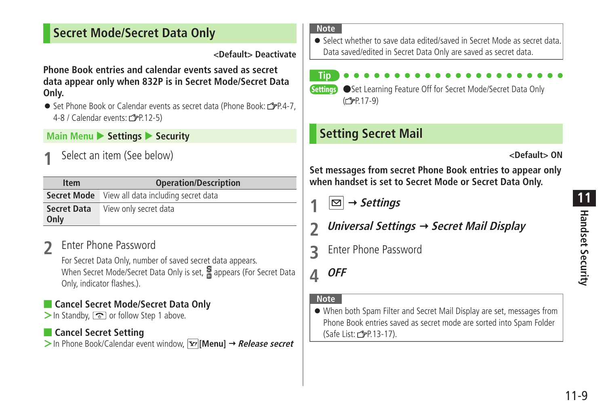## <span id="page-8-0"></span>**Secret Mode/Secret Data Only**

**<Default> Deactivate**

**Phone Book entries and calendar events saved as secret data appear only when 832P is in Secret Mode/Secret Data Only.**

● Set Phone Book or Calendar events as secret data (Phone Book: r全P.4-7, 4-8 / Calendar events:  $\sqrt{P}P.12-5$ )

#### **Main Menu**  $\triangleright$  **Settings**  $\triangleright$  **Security**

**1** Select an item (See below)

| <b>Item</b>                | <b>Operation/Description</b>                           |
|----------------------------|--------------------------------------------------------|
|                            | <b>Secret Mode</b> View all data including secret data |
| <b>Secret Data</b><br>Only | View only secret data                                  |

## **2** Enter Phone Password

For Secret Data Only, number of saved secret data appears. When Secret Mode/Secret Data Only is set, appears (For Secret Data Only, indicator flashes.).

### ■ **Cancel Secret Mode/Secret Data Only**

>In Standby, or follow Step 1 above.

#### ■ **Cancel Secret Setting**

**>** In Phone Book/Calendar event window, **[x7]** [Menu] → Release secret

#### **Note**

only **Tip**

● Select whether to save data edited/saved in Secret Mode as secret data. Data saved/edited in Secret Data Only are saved as secret data.

Settings ●Set Learning Feature Off for Secret Mode/Secret Data Only

## **Setting Secret Mail**

 $(\sqrt{7}P.17-9)$ 

**<Default> ON**

**Set messages from secret Phone Book entries to appear only when handset is set to Secret Mode or Secret Data Only.**

 $\vert\Box\vert \rightarrow$  Settings

- **2 Universal Settings Secret Mail Display**
- **3** Enter Phone Password

**4 OFF**

#### **Note**

● When both Spam Filter and Secret Mail Display are set, messages from Phone Book entries saved as secret mode are sorted into Spam Folder (Safe List:  $2P.13-17$ ).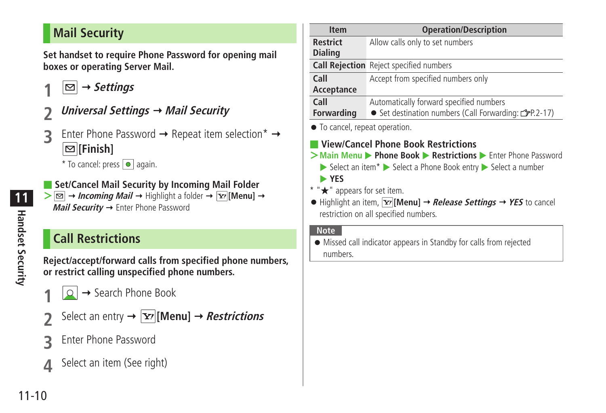## <span id="page-9-0"></span>**Mail Security**

**Set handset to require Phone Password for opening mail boxes or operating Server Mail.**

- $|\nabla|$   $\rightarrow$  *Settings*
- **2 Universal Settings Mail Security**
- **3** Enter Phone Password → Repeat item selection\* → **[Finish]**

 $*$  To cancel: press  $\boxed{\bullet}$  again.

■ Set/Cancel Mail Security by Incoming Mail Folder

 $> \boxed{\odot}$  **+ Incoming Mail**  $\rightarrow$  Highlight a folder  $\rightarrow \boxed{\odot}$  [Menu]  $\rightarrow$ **Mail Security → Enter Phone Password** 

## **Call Restrictions**

**Reject/accept/forward calls from specified phone numbers, or restrict calling unspecified phone numbers.**

- **2** → Search Phone Book
- Select an entry  $\rightarrow \boxed{\mathbf{Y}}$  [Menu]  $\rightarrow$  **Restrictions**
- **3** Enter Phone Password
- **4** Select an item (See right)

| <b>Item</b>                                                                       | <b>Operation/Description</b>                                                                                                                                                                                                          |
|-----------------------------------------------------------------------------------|---------------------------------------------------------------------------------------------------------------------------------------------------------------------------------------------------------------------------------------|
| <b>Restrict</b>                                                                   | Allow calls only to set numbers                                                                                                                                                                                                       |
| <b>Dialing</b>                                                                    |                                                                                                                                                                                                                                       |
|                                                                                   | <b>Call Rejection</b> Reject specified numbers                                                                                                                                                                                        |
| Call                                                                              | Accept from specified numbers only                                                                                                                                                                                                    |
| Acceptance                                                                        |                                                                                                                                                                                                                                       |
| Call                                                                              | Automatically forward specified numbers                                                                                                                                                                                               |
| <b>Forwarding</b>                                                                 | ● Set destination numbers (Call Forwarding: C=P.2-17)                                                                                                                                                                                 |
|                                                                                   | View/Cancel Phone Book Restrictions<br>$\triangleright$ Select an item $*$ $\triangleright$ Select a Phone Book entry $\triangleright$ Select a number                                                                                |
| • To cancel, repeat operation.<br>▶ YES<br>* " $\bigstar$ " appears for set item. | > Main Menu > Phone Book > Restrictions > Enter Phone Password<br>$\bullet$ Highlight an item, $\boxed{\mathbf{v}}$ [Menu] $\rightarrow$ <i>Release Settings</i> $\rightarrow$ YES to cancel<br>restriction on all specified numbers. |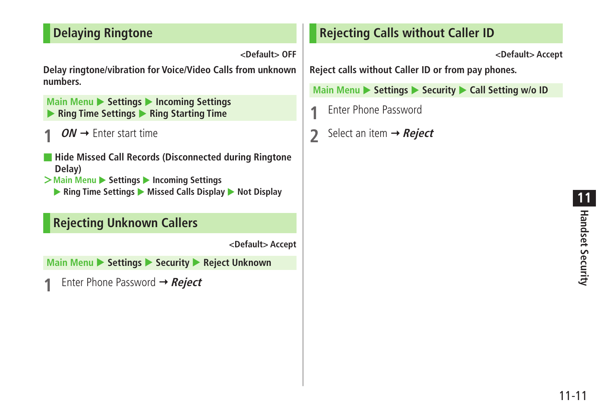## <span id="page-10-0"></span>**Delaying Ringtone**

**<Default> OFF**

**Delay ringtone/vibration for Voice/Video Calls from unknown numbers.**

**Main Menu > Settings > Incoming Settings** X **Ring Time Settings** X **Ring Starting Time**

- $ON \rightarrow$  Enter start time
- **Hide Missed Call Records (Disconnected during Ringtone Delay)**
- $>$ **Main Menu** ▶ Settings ▶ Incoming Settings
	- ▶ Ring Time Settings ▶ Missed Calls Display ▶ Not Display

## **Rejecting Unknown Callers**

**<Default> Accept**

**Main Menu ▶ Settings ▶ Security ▶ Reject Unknown** 

Enter Phone Password  $\rightarrow$  **Reject** 

## **Rejecting Calls without Caller ID**

**<Default> Accept**

**Reject calls without Caller ID or from pay phones.**

**Main Menu > Settings > Security > Call Setting w/o ID** 

- **1** Enter Phone Password
- **2** Select an item → **Reject**